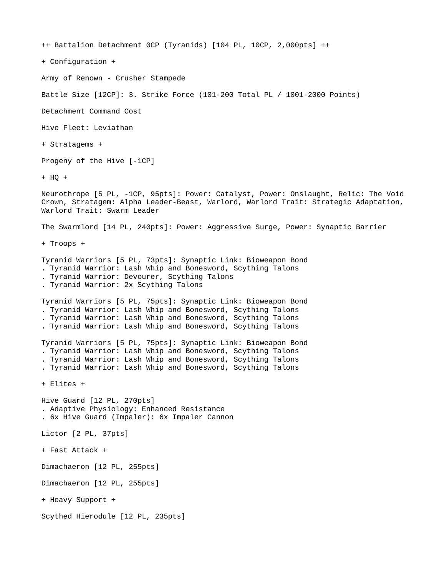++ Battalion Detachment 0CP (Tyranids) [104 PL, 10CP, 2,000pts] ++

+ Configuration +

Army of Renown - Crusher Stampede

Battle Size [12CP]: 3. Strike Force (101-200 Total PL / 1001-2000 Points)

Detachment Command Cost

Hive Fleet: Leviathan

+ Stratagems +

Progeny of the Hive [-1CP]

+ HQ +

Neurothrope [5 PL, -1CP, 95pts]: Power: Catalyst, Power: Onslaught, Relic: The Void Crown, Stratagem: Alpha Leader-Beast, Warlord, Warlord Trait: Strategic Adaptation, Warlord Trait: Swarm Leader

The Swarmlord [14 PL, 240pts]: Power: Aggressive Surge, Power: Synaptic Barrier

+ Troops +

Tyranid Warriors [5 PL, 73pts]: Synaptic Link: Bioweapon Bond

. Tyranid Warrior: Lash Whip and Bonesword, Scything Talons

. Tyranid Warrior: Devourer, Scything Talons

. Tyranid Warrior: 2x Scything Talons

Tyranid Warriors [5 PL, 75pts]: Synaptic Link: Bioweapon Bond . Tyranid Warrior: Lash Whip and Bonesword, Scything Talons . Tyranid Warrior: Lash Whip and Bonesword, Scything Talons . Tyranid Warrior: Lash Whip and Bonesword, Scything Talons

Tyranid Warriors [5 PL, 75pts]: Synaptic Link: Bioweapon Bond . Tyranid Warrior: Lash Whip and Bonesword, Scything Talons . Tyranid Warrior: Lash Whip and Bonesword, Scything Talons . Tyranid Warrior: Lash Whip and Bonesword, Scything Talons

+ Elites +

Hive Guard [12 PL, 270pts] . Adaptive Physiology: Enhanced Resistance . 6x Hive Guard (Impaler): 6x Impaler Cannon Lictor [2 PL, 37pts] + Fast Attack + Dimachaeron [12 PL, 255pts] Dimachaeron [12 PL, 255pts] + Heavy Support +

Scythed Hierodule [12 PL, 235pts]